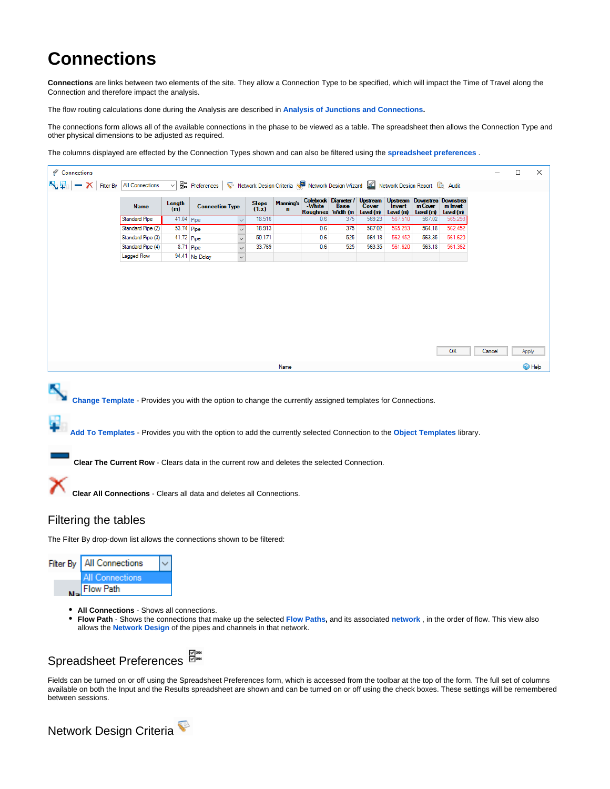# **Connections**

**Connections** are links between two elements of the site. They allow a Connection Type to be specified, which will impact the Time of Travel along the Connection and therefore impact the analysis.

The flow routing calculations done during the Analysis are described in **[Analysis of Junctions and Connections.](https://help.innovyze.com/display/infodrainage2021v1/Analysis+of+Junctions+and+Connections)**

The connections form allows all of the available connections in the phase to be viewed as a table. The spreadsheet then allows the Connection Type and other physical dimensions to be adjusted as required.

The columns displayed are effected by the Connection Types shown and can also be filtered using the **spreadsheet preferences** .

| Connections                                                                                                                                                                                                                                                                                                                              |                                                                             |                   |                        |                          |                |                                  |                                                  |                                                                    |                   |                               |                                           |                                   |        | □     | ×             |
|------------------------------------------------------------------------------------------------------------------------------------------------------------------------------------------------------------------------------------------------------------------------------------------------------------------------------------------|-----------------------------------------------------------------------------|-------------------|------------------------|--------------------------|----------------|----------------------------------|--------------------------------------------------|--------------------------------------------------------------------|-------------------|-------------------------------|-------------------------------------------|-----------------------------------|--------|-------|---------------|
| <b>Filter By</b>                                                                                                                                                                                                                                                                                                                         | All Connections                                                             | 님<br>$\checkmark$ | Preferences            |                          |                |                                  | Network Design Criteria NE Network Design Wizard |                                                                    |                   | Network Design Report & Audit |                                           |                                   |        |       |               |
|                                                                                                                                                                                                                                                                                                                                          | Name                                                                        | Length<br>(m)     | <b>Connection Type</b> |                          | Slope<br>(1:x) | <b>Manning's</b><br>$\mathbf{r}$ | -White                                           | Colebrock Diameter /<br><b>Base</b><br>Roughnes Width (m Level (m) | Upstream<br>Cover | Invert<br>Level (m)           | Upstream Downstrea<br>m Cover<br>Level(m) | Downstrea<br>m Invat<br>Level (m) |        |       |               |
|                                                                                                                                                                                                                                                                                                                                          | <b>Standard Pipe</b>                                                        | 41.04 Pipe        |                        | $\smallsetminus$         | 18.516         |                                  | 0.6                                              | 375                                                                | 569.23            | 567.510                       | 567.02                                    | 565.29                            |        |       |               |
|                                                                                                                                                                                                                                                                                                                                          | Standard Pipe (2)                                                           |                   | 53.74 Pipe             | $\checkmark$             | 18.913         |                                  | 0.6                                              | 375                                                                | 567.02            | 565.293                       | 564.18                                    | 562.452                           |        |       |               |
|                                                                                                                                                                                                                                                                                                                                          | Standard Pipe (3)                                                           |                   | 41.72 Pipe             | $\overline{\phantom{0}}$ | 50.171         |                                  | 0.6                                              | 525                                                                | 564.18            | 562.452                       | 563.35                                    | 561.620                           |        |       |               |
|                                                                                                                                                                                                                                                                                                                                          | Standard Pipe (4)                                                           |                   | 8.71 Pipe              | $\overline{\phantom{0}}$ | 33.769         |                                  | 0.6                                              | 525                                                                | 563.35            | 561.620                       | 563.18                                    | 561.362                           |        |       |               |
|                                                                                                                                                                                                                                                                                                                                          | Lagged Flow                                                                 |                   | 94.41 No Delay         | $\checkmark$             |                |                                  |                                                  |                                                                    |                   |                               |                                           |                                   |        |       |               |
|                                                                                                                                                                                                                                                                                                                                          |                                                                             |                   |                        |                          |                |                                  |                                                  |                                                                    |                   |                               |                                           | ΟК                                | Cancel | Apply |               |
|                                                                                                                                                                                                                                                                                                                                          |                                                                             |                   |                        |                          |                |                                  |                                                  |                                                                    |                   |                               |                                           |                                   |        |       |               |
|                                                                                                                                                                                                                                                                                                                                          |                                                                             |                   |                        |                          |                | Name                             |                                                  |                                                                    |                   |                               |                                           |                                   |        |       | <b>B</b> Help |
| Add To Templates - Provides you with the option to add the currently selected Connection to the Object Templates library.<br>Clear The Current Row - Clears data in the current row and deletes the selected Connection.<br>Clear All Connections - Clears all data and deletes all Connections.<br>Filtering the tables                 |                                                                             |                   |                        |                          |                |                                  |                                                  |                                                                    |                   |                               |                                           |                                   |        |       |               |
| The Filter By drop-down list allows the connections shown to be filtered:                                                                                                                                                                                                                                                                |                                                                             |                   |                        |                          |                |                                  |                                                  |                                                                    |                   |                               |                                           |                                   |        |       |               |
| All Connections<br>Filter By<br>Connections<br><b>Flow Path</b>                                                                                                                                                                                                                                                                          |                                                                             |                   |                        |                          |                |                                  |                                                  |                                                                    |                   |                               |                                           |                                   |        |       |               |
| <b>All Connections</b> - Shows all connections.<br>Flow Path - Shows the connections that make up the selected Flow Paths, and its associated network, in the order of flow. This view also<br>٠                                                                                                                                         | allows the <b>Network Design</b> of the pipes and channels in that network. |                   |                        |                          |                |                                  |                                                  |                                                                    |                   |                               |                                           |                                   |        |       |               |
| Spreadsheet Preferences                                                                                                                                                                                                                                                                                                                  |                                                                             |                   |                        |                          |                |                                  |                                                  |                                                                    |                   |                               |                                           |                                   |        |       |               |
| Fields can be turned on or off using the Spreadsheet Preferences form, which is accessed from the toolbar at the top of the form. The full set of columns<br>available on both the Input and the Results spreadsheet are shown and can be turned on or off using the check boxes. These settings will be remembered<br>between sessions. |                                                                             |                   |                        |                          |                |                                  |                                                  |                                                                    |                   |                               |                                           |                                   |        |       |               |

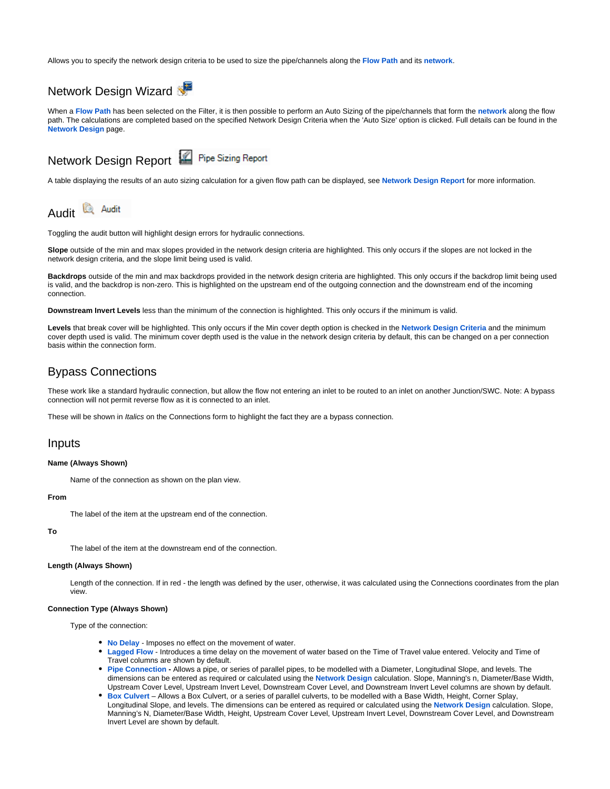Allows you to specify the network design criteria to be used to size the pipe/channels along the **[Flow Path](https://help.innovyze.com/display/infodrainage2021v1/Flow+Paths)** and its **[network](https://help.innovyze.com/display/infodrainage2021v1/Networks)**.

# Network Design Wizard

When a **[Flow Path](https://help.innovyze.com/display/infodrainage2021v1/Flow+Paths)** has been selected on the Filter, it is then possible to perform an Auto Sizing of the pipe/channels that form the **[network](https://help.innovyze.com/display/infodrainage2021v1/Networks)** along the flow path. The calculations are completed based on the specified Network Design Criteria when the 'Auto Size' option is clicked. Full details can be found in the **[Network Design](https://help.innovyze.com/display/infodrainage2021v1/Network+Design)** page.

# Network Design Report **Pipe Sizing Report**

A table displaying the results of an auto sizing calculation for a given flow path can be displayed, see **[Network Design Report](https://help.innovyze.com/display/infodrainage2021v1/Network+Design+Report)** for more information.



Toggling the audit button will highlight design errors for hydraulic connections.

**Slope** outside of the min and max slopes provided in the network design criteria are highlighted. This only occurs if the slopes are not locked in the network design criteria, and the slope limit being used is valid.

**Backdrops** outside of the min and max backdrops provided in the network design criteria are highlighted. This only occurs if the backdrop limit being used is valid, and the backdrop is non-zero. This is highlighted on the upstream end of the outgoing connection and the downstream end of the incoming connection.

**Downstream Invert Levels** less than the minimum of the connection is highlighted. This only occurs if the minimum is valid.

**Levels** that break cover will be highlighted. This only occurs if the Min cover depth option is checked in the **[Network Design Criteria](https://help.innovyze.com/display/infodrainage2021v1/Network+Design+Criteria)** and the minimum cover depth used is valid. The minimum cover depth used is the value in the network design criteria by default, this can be changed on a per connection basis within the connection form.

# Bypass Connections

These work like a standard hydraulic connection, but allow the flow not entering an inlet to be routed to an inlet on another Junction/SWC. Note: A bypass connection will not permit reverse flow as it is connected to an inlet.

These will be shown in Italics on the Connections form to highlight the fact they are a bypass connection.

# Inputs

# **Name (Always Shown)**

Name of the connection as shown on the plan view.

# **From**

The label of the item at the upstream end of the connection.

#### **To**

The label of the item at the downstream end of the connection.

## **Length (Always Shown)**

Length of the connection. If in red - the length was defined by the user, otherwise, it was calculated using the Connections coordinates from the plan view.

#### **Connection Type (Always Shown)**

Type of the connection:

- **[No Delay](https://help.innovyze.com/display/infodrainage2021v1/No+Delay)** Imposes no effect on the movement of water.
- **[Lagged Flow](https://help.innovyze.com/display/infodrainage2021v1/Lagged+Flow)** Introduces a time delay on the movement of water based on the Time of Travel value entered. Velocity and Time of Travel columns are shown by default.
- **[Pipe Connection](https://help.innovyze.com/display/infodrainage2021v1/Pipe+Connection)** Allows a pipe, or series of parallel pipes, to be modelled with a Diameter, Longitudinal Slope, and levels. The dimensions can be entered as required or calculated using the **[Network Design](https://help.innovyze.com/display/infodrainage2021v1/Network+Design)** calculation. Slope, Manning's n, Diameter/Base Width, Upstream Cover Level, Upstream Invert Level, Downstream Cover Level, and Downstream Invert Level columns are shown by default.
- **[Box Culvert](https://help.innovyze.com/display/infodrainage2021v1/Box+Culvert)** Allows a Box Culvert, or a series of parallel culverts, to be modelled with a Base Width, Height, Corner Splay, Longitudinal Slope, and levels. The dimensions can be entered as required or calculated using the **[Network Design](https://help.innovyze.com/display/infodrainage2021v1/Network+Design)** calculation. Slope, Manning's N, Diameter/Base Width, Height, Upstream Cover Level, Upstream Invert Level, Downstream Cover Level, and Downstream Invert Level are shown by default.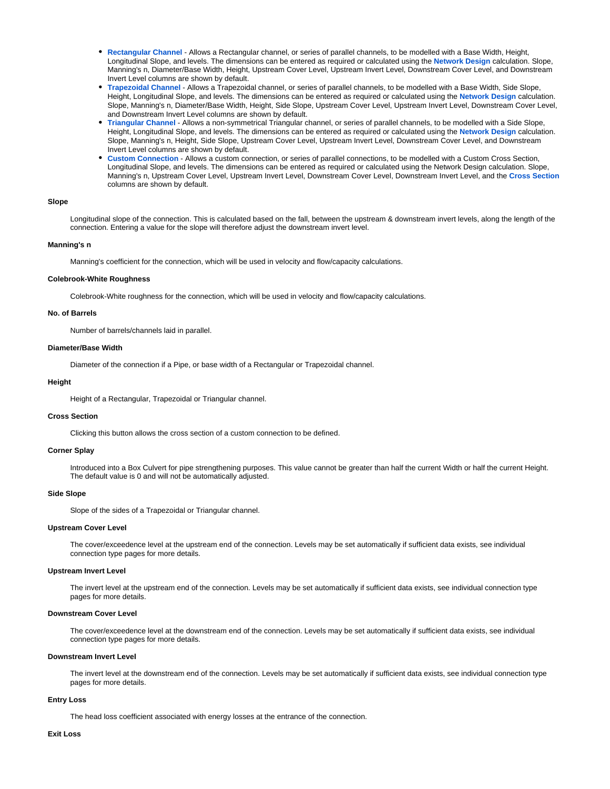- **[Rectangular Channel](https://help.innovyze.com/display/infodrainage2021v1/Rectangular+Channel)** Allows a Rectangular channel, or series of parallel channels, to be modelled with a Base Width, Height, Longitudinal Slope, and levels. The dimensions can be entered as required or calculated using the **[Network Design](https://help.innovyze.com/display/infodrainage2021v1/Network+Design)** calculation. Slope, Manning's n, Diameter/Base Width, Height, Upstream Cover Level, Upstream Invert Level, Downstream Cover Level, and Downstream Invert Level columns are shown by default.
- **[Trapezoidal Channel](https://help.innovyze.com/display/infodrainage2021v1/Trapezoidal+Channel)** Allows a Trapezoidal channel, or series of parallel channels, to be modelled with a Base Width, Side Slope, Height, Longitudinal Slope, and levels. The dimensions can be entered as required or calculated using the **[Network Design](https://help.innovyze.com/display/infodrainage2021v1/Network+Design)** calculation. Slope, Manning's n, Diameter/Base Width, Height, Side Slope, Upstream Cover Level, Upstream Invert Level, Downstream Cover Level, and Downstream Invert Level columns are shown by default.
- **[Triangular Channel](https://help.innovyze.com/display/infodrainage2021v1/Triangular+Channel)** Allows a non-symmetrical Triangular channel, or series of parallel channels, to be modelled with a Side Slope, Height, Longitudinal Slope, and levels. The dimensions can be entered as required or calculated using the **[Network Design](https://help.innovyze.com/display/infodrainage2021v1/Network+Design)** calculation. Slope, Manning's n, Height, Side Slope, Upstream Cover Level, Upstream Invert Level, Downstream Cover Level, and Downstream Invert Level columns are shown by default.
- **[Custom Connection](https://help.innovyze.com/display/infodrainage2021v1/Custom+Connection)** Allows a custom connection, or series of parallel connections, to be modelled with a Custom Cross Section, Longitudinal Slope, and levels. The dimensions can be entered as required or calculated using the Network Design calculation. Slope, Manning's n, Upstream Cover Level, Upstream Invert Level, Downstream Cover Level, Downstream Invert Level, and the **[Cross Section](https://help.innovyze.com/display/infodrainage2021v1/Define+Cross+Section)** columns are shown by default.

# **Slope**

Longitudinal slope of the connection. This is calculated based on the fall, between the upstream & downstream invert levels, along the length of the connection. Entering a value for the slope will therefore adjust the downstream invert level.

# **Manning's n**

Manning's coefficient for the connection, which will be used in velocity and flow/capacity calculations.

#### **Colebrook-White Roughness**

Colebrook-White roughness for the connection, which will be used in velocity and flow/capacity calculations.

## **No. of Barrels**

Number of barrels/channels laid in parallel.

#### **Diameter/Base Width**

Diameter of the connection if a Pipe, or base width of a Rectangular or Trapezoidal channel.

#### **Height**

Height of a Rectangular, Trapezoidal or Triangular channel.

#### **Cross Section**

Clicking this button allows the cross section of a custom connection to be defined.

#### **Corner Splay**

Introduced into a Box Culvert for pipe strengthening purposes. This value cannot be greater than half the current Width or half the current Height. The default value is 0 and will not be automatically adjusted.

#### **Side Slope**

Slope of the sides of a Trapezoidal or Triangular channel.

#### **Upstream Cover Level**

The cover/exceedence level at the upstream end of the connection. Levels may be set automatically if sufficient data exists, see individual connection type pages for more details.

# **Upstream Invert Level**

The invert level at the upstream end of the connection. Levels may be set automatically if sufficient data exists, see individual connection type pages for more details.

# **Downstream Cover Level**

The cover/exceedence level at the downstream end of the connection. Levels may be set automatically if sufficient data exists, see individual connection type pages for more details.

#### **Downstream Invert Level**

The invert level at the downstream end of the connection. Levels may be set automatically if sufficient data exists, see individual connection type pages for more details.

# **Entry Loss**

The head loss coefficient associated with energy losses at the entrance of the connection.

#### **Exit Loss**